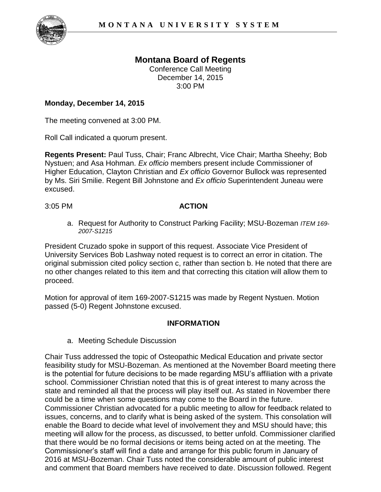

## **Montana Board of Regents**

Conference Call Meeting December 14, 2015 3:00 PM

## **Monday, December 14, 2015**

The meeting convened at 3:00 PM.

Roll Call indicated a quorum present.

**Regents Present:** Paul Tuss, Chair; Franc Albrecht, Vice Chair; Martha Sheehy; Bob Nystuen; and Asa Hohman. *Ex officio* members present include Commissioner of Higher Education, Clayton Christian and *Ex officio* Governor Bullock was represented by Ms. Siri Smilie. Regent Bill Johnstone and *Ex officio* Superintendent Juneau were excused.

## 3:05 PM **ACTION**

a. Request for Authority to Construct Parking Facility; MSU-Bozeman *ITEM 169- 2007-S1215*

President Cruzado spoke in support of this request. Associate Vice President of University Services Bob Lashway noted request is to correct an error in citation. The original submission cited policy section c, rather than section b. He noted that there are no other changes related to this item and that correcting this citation will allow them to proceed.

Motion for approval of item 169-2007-S1215 was made by Regent Nystuen. Motion passed (5-0) Regent Johnstone excused.

## **INFORMATION**

a. Meeting Schedule Discussion

Chair Tuss addressed the topic of Osteopathic Medical Education and private sector feasibility study for MSU-Bozeman. As mentioned at the November Board meeting there is the potential for future decisions to be made regarding MSU's affiliation with a private school. Commissioner Christian noted that this is of great interest to many across the state and reminded all that the process will play itself out. As stated in November there could be a time when some questions may come to the Board in the future. Commissioner Christian advocated for a public meeting to allow for feedback related to issues, concerns, and to clarify what is being asked of the system. This consolation will enable the Board to decide what level of involvement they and MSU should have; this meeting will allow for the process, as discussed, to better unfold. Commissioner clarified that there would be no formal decisions or items being acted on at the meeting. The Commissioner's staff will find a date and arrange for this public forum in January of 2016 at MSU-Bozeman. Chair Tuss noted the considerable amount of public interest and comment that Board members have received to date. Discussion followed. Regent